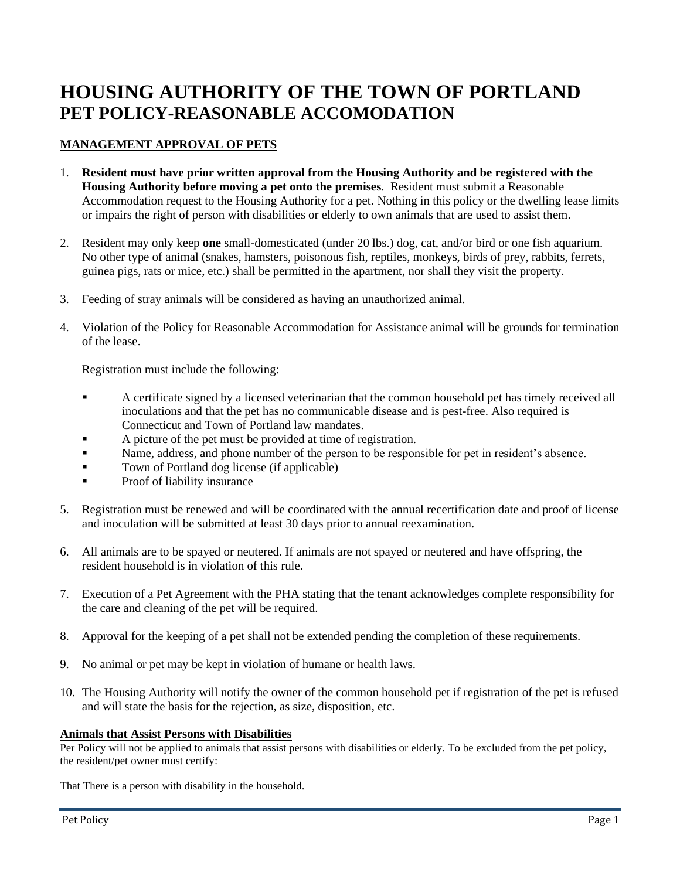# **HOUSING AUTHORITY OF THE TOWN OF PORTLAND PET POLICY-REASONABLE ACCOMODATION**

## **MANAGEMENT APPROVAL OF PETS**

- 1. **Resident must have prior written approval from the Housing Authority and be registered with the Housing Authority before moving a pet onto the premises**. Resident must submit a Reasonable Accommodation request to the Housing Authority for a pet. Nothing in this policy or the dwelling lease limits or impairs the right of person with disabilities or elderly to own animals that are used to assist them.
- 2. Resident may only keep **one** small-domesticated (under 20 lbs.) dog, cat, and/or bird or one fish aquarium. No other type of animal (snakes, hamsters, poisonous fish, reptiles, monkeys, birds of prey, rabbits, ferrets, guinea pigs, rats or mice, etc.) shall be permitted in the apartment, nor shall they visit the property.
- 3. Feeding of stray animals will be considered as having an unauthorized animal.
- 4. Violation of the Policy for Reasonable Accommodation for Assistance animal will be grounds for termination of the lease.

Registration must include the following:

- **•** A certificate signed by a licensed veterinarian that the common household pet has timely received all inoculations and that the pet has no communicable disease and is pest-free. Also required is Connecticut and Town of Portland law mandates.
- A picture of the pet must be provided at time of registration.
- **Exame, address, and phone number of the person to be responsible for pet in resident's absence.**
- Town of Portland dog license (if applicable)
- Proof of liability insurance
- 5. Registration must be renewed and will be coordinated with the annual recertification date and proof of license and inoculation will be submitted at least 30 days prior to annual reexamination.
- 6. All animals are to be spayed or neutered. If animals are not spayed or neutered and have offspring, the resident household is in violation of this rule.
- 7. Execution of a Pet Agreement with the PHA stating that the tenant acknowledges complete responsibility for the care and cleaning of the pet will be required.
- 8. Approval for the keeping of a pet shall not be extended pending the completion of these requirements.
- 9. No animal or pet may be kept in violation of humane or health laws.
- 10. The Housing Authority will notify the owner of the common household pet if registration of the pet is refused and will state the basis for the rejection, as size, disposition, etc.

#### **Animals that Assist Persons with Disabilities**

Per Policy will not be applied to animals that assist persons with disabilities or elderly. To be excluded from the pet policy, the resident/pet owner must certify:

That There is a person with disability in the household.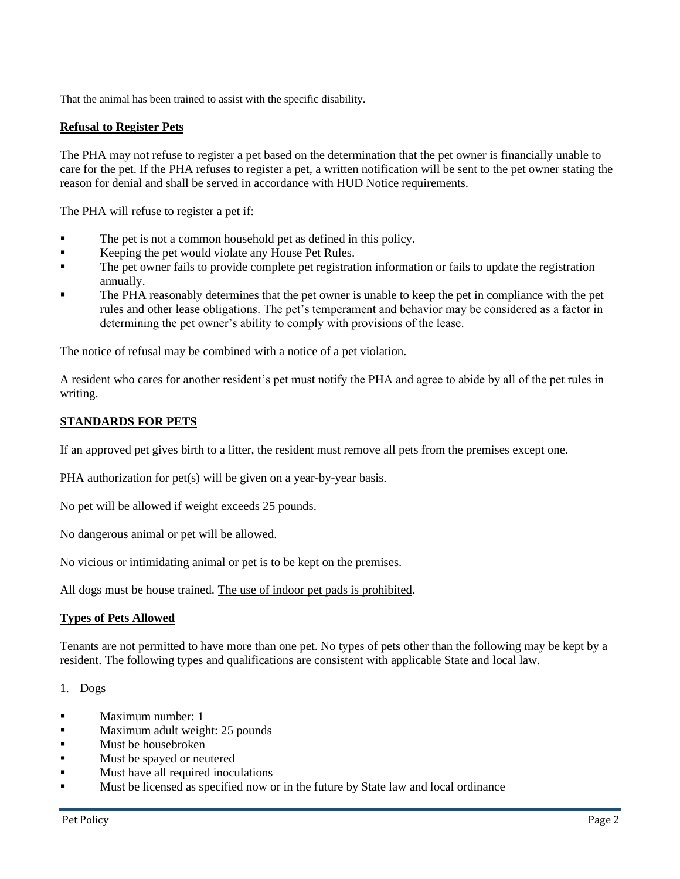That the animal has been trained to assist with the specific disability.

#### **Refusal to Register Pets**

The PHA may not refuse to register a pet based on the determination that the pet owner is financially unable to care for the pet. If the PHA refuses to register a pet, a written notification will be sent to the pet owner stating the reason for denial and shall be served in accordance with HUD Notice requirements.

The PHA will refuse to register a pet if:

- The pet is not a common household pet as defined in this policy.
- Keeping the pet would violate any House Pet Rules.
- The pet owner fails to provide complete pet registration information or fails to update the registration annually.
- The PHA reasonably determines that the pet owner is unable to keep the pet in compliance with the pet rules and other lease obligations. The pet's temperament and behavior may be considered as a factor in determining the pet owner's ability to comply with provisions of the lease.

The notice of refusal may be combined with a notice of a pet violation.

A resident who cares for another resident's pet must notify the PHA and agree to abide by all of the pet rules in writing.

### **STANDARDS FOR PETS**

If an approved pet gives birth to a litter, the resident must remove all pets from the premises except one.

PHA authorization for pet(s) will be given on a year-by-year basis.

No pet will be allowed if weight exceeds 25 pounds.

No dangerous animal or pet will be allowed.

No vicious or intimidating animal or pet is to be kept on the premises.

All dogs must be house trained. The use of indoor pet pads is prohibited.

#### **Types of Pets Allowed**

Tenants are not permitted to have more than one pet. No types of pets other than the following may be kept by a resident. The following types and qualifications are consistent with applicable State and local law.

1. Dogs

- Maximum number: 1
- Maximum adult weight: 25 pounds
- Must be housebroken
- Must be spayed or neutered
- Must have all required inoculations
- **In all 1** Must be licensed as specified now or in the future by State law and local ordinance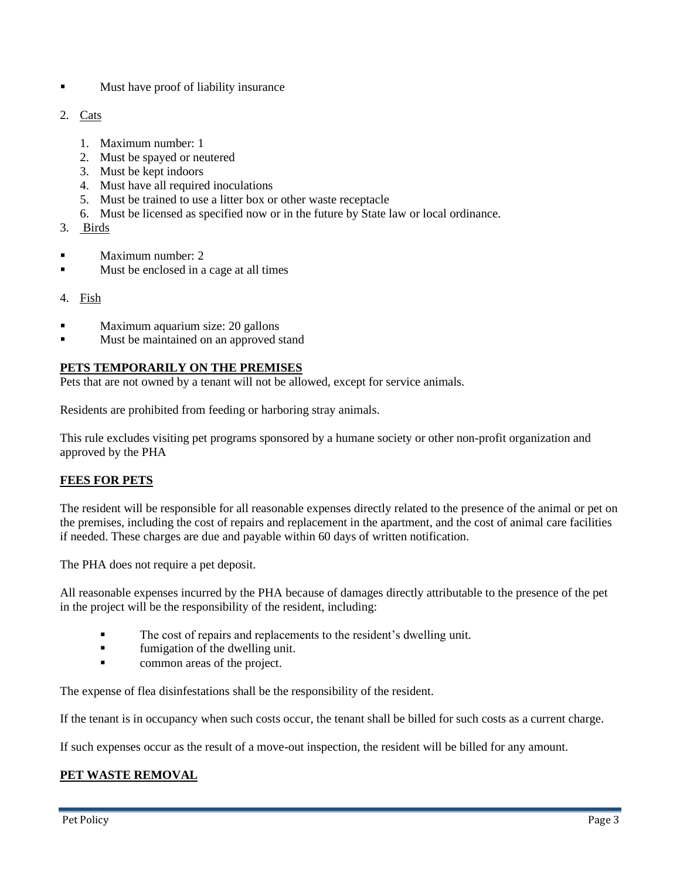- Must have proof of liability insurance
- 2. Cats
	- 1. Maximum number: 1
	- 2. Must be spayed or neutered
	- 3. Must be kept indoors
	- 4. Must have all required inoculations
	- 5. Must be trained to use a litter box or other waste receptacle
	- 6. Must be licensed as specified now or in the future by State law or local ordinance.
- 3. Birds
- Maximum number: 2
- Must be enclosed in a cage at all times
- 4. Fish
- Maximum aquarium size: 20 gallons
- Must be maintained on an approved stand

## **PETS TEMPORARILY ON THE PREMISES**

Pets that are not owned by a tenant will not be allowed, except for service animals.

Residents are prohibited from feeding or harboring stray animals.

This rule excludes visiting pet programs sponsored by a humane society or other non-profit organization and approved by the PHA

# **FEES FOR PETS**

The resident will be responsible for all reasonable expenses directly related to the presence of the animal or pet on the premises, including the cost of repairs and replacement in the apartment, and the cost of animal care facilities if needed. These charges are due and payable within 60 days of written notification.

The PHA does not require a pet deposit.

All reasonable expenses incurred by the PHA because of damages directly attributable to the presence of the pet in the project will be the responsibility of the resident, including:

- The cost of repairs and replacements to the resident's dwelling unit.
- **•** fumigation of the dwelling unit.
- **•** common areas of the project.

The expense of flea disinfestations shall be the responsibility of the resident.

If the tenant is in occupancy when such costs occur, the tenant shall be billed for such costs as a current charge.

If such expenses occur as the result of a move-out inspection, the resident will be billed for any amount.

# **PET WASTE REMOVAL**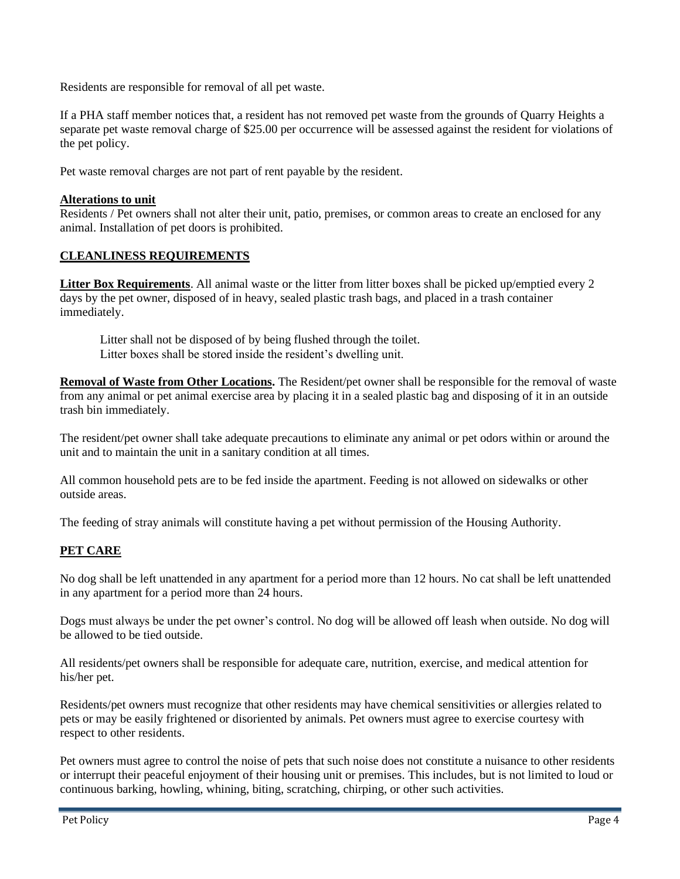Residents are responsible for removal of all pet waste.

If a PHA staff member notices that, a resident has not removed pet waste from the grounds of Quarry Heights a separate pet waste removal charge of \$25.00 per occurrence will be assessed against the resident for violations of the pet policy.

Pet waste removal charges are not part of rent payable by the resident.

#### **Alterations to unit**

Residents / Pet owners shall not alter their unit, patio, premises, or common areas to create an enclosed for any animal. Installation of pet doors is prohibited.

### **CLEANLINESS REQUIREMENTS**

**Litter Box Requirements**. All animal waste or the litter from litter boxes shall be picked up/emptied every 2 days by the pet owner, disposed of in heavy, sealed plastic trash bags, and placed in a trash container immediately.

Litter shall not be disposed of by being flushed through the toilet. Litter boxes shall be stored inside the resident's dwelling unit.

**Removal of Waste from Other Locations.** The Resident/pet owner shall be responsible for the removal of waste from any animal or pet animal exercise area by placing it in a sealed plastic bag and disposing of it in an outside trash bin immediately.

The resident/pet owner shall take adequate precautions to eliminate any animal or pet odors within or around the unit and to maintain the unit in a sanitary condition at all times.

All common household pets are to be fed inside the apartment. Feeding is not allowed on sidewalks or other outside areas.

The feeding of stray animals will constitute having a pet without permission of the Housing Authority.

### **PET CARE**

No dog shall be left unattended in any apartment for a period more than 12 hours. No cat shall be left unattended in any apartment for a period more than 24 hours.

Dogs must always be under the pet owner's control. No dog will be allowed off leash when outside. No dog will be allowed to be tied outside.

All residents/pet owners shall be responsible for adequate care, nutrition, exercise, and medical attention for his/her pet.

Residents/pet owners must recognize that other residents may have chemical sensitivities or allergies related to pets or may be easily frightened or disoriented by animals. Pet owners must agree to exercise courtesy with respect to other residents.

Pet owners must agree to control the noise of pets that such noise does not constitute a nuisance to other residents or interrupt their peaceful enjoyment of their housing unit or premises. This includes, but is not limited to loud or continuous barking, howling, whining, biting, scratching, chirping, or other such activities.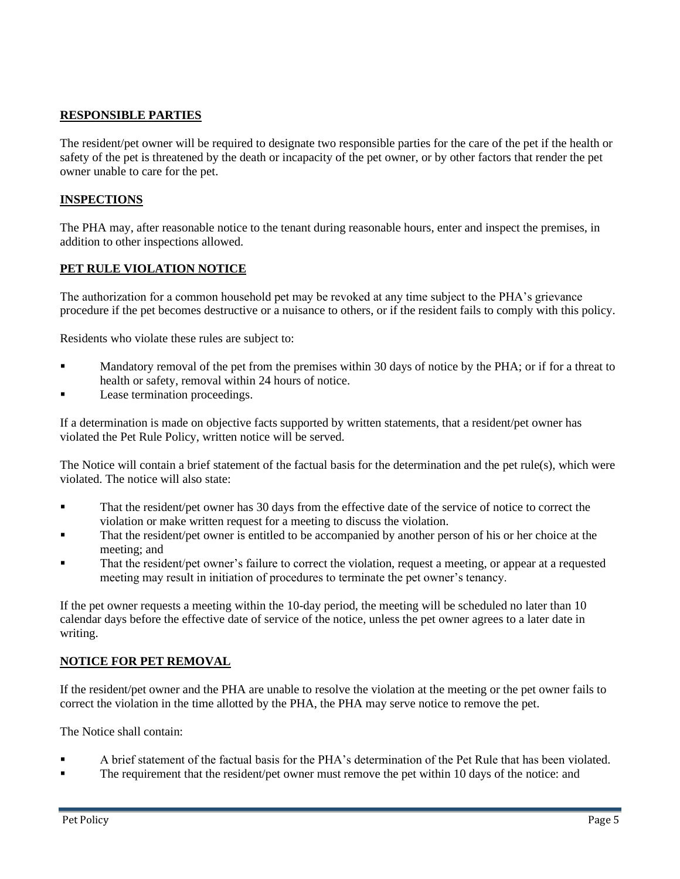## **RESPONSIBLE PARTIES**

The resident/pet owner will be required to designate two responsible parties for the care of the pet if the health or safety of the pet is threatened by the death or incapacity of the pet owner, or by other factors that render the pet owner unable to care for the pet.

#### **INSPECTIONS**

The PHA may, after reasonable notice to the tenant during reasonable hours, enter and inspect the premises, in addition to other inspections allowed.

### **PET RULE VIOLATION NOTICE**

The authorization for a common household pet may be revoked at any time subject to the PHA's grievance procedure if the pet becomes destructive or a nuisance to others, or if the resident fails to comply with this policy.

Residents who violate these rules are subject to:

- Mandatory removal of the pet from the premises within 30 days of notice by the PHA; or if for a threat to health or safety, removal within 24 hours of notice.
- Lease termination proceedings.

If a determination is made on objective facts supported by written statements, that a resident/pet owner has violated the Pet Rule Policy, written notice will be served.

The Notice will contain a brief statement of the factual basis for the determination and the pet rule(s), which were violated. The notice will also state:

- That the resident/pet owner has 30 days from the effective date of the service of notice to correct the violation or make written request for a meeting to discuss the violation.
- That the resident/pet owner is entitled to be accompanied by another person of his or her choice at the meeting; and
- That the resident/pet owner's failure to correct the violation, request a meeting, or appear at a requested meeting may result in initiation of procedures to terminate the pet owner's tenancy.

If the pet owner requests a meeting within the 10-day period, the meeting will be scheduled no later than 10 calendar days before the effective date of service of the notice, unless the pet owner agrees to a later date in writing.

### **NOTICE FOR PET REMOVAL**

If the resident/pet owner and the PHA are unable to resolve the violation at the meeting or the pet owner fails to correct the violation in the time allotted by the PHA, the PHA may serve notice to remove the pet.

The Notice shall contain:

- A brief statement of the factual basis for the PHA's determination of the Pet Rule that has been violated.
- The requirement that the resident/pet owner must remove the pet within 10 days of the notice: and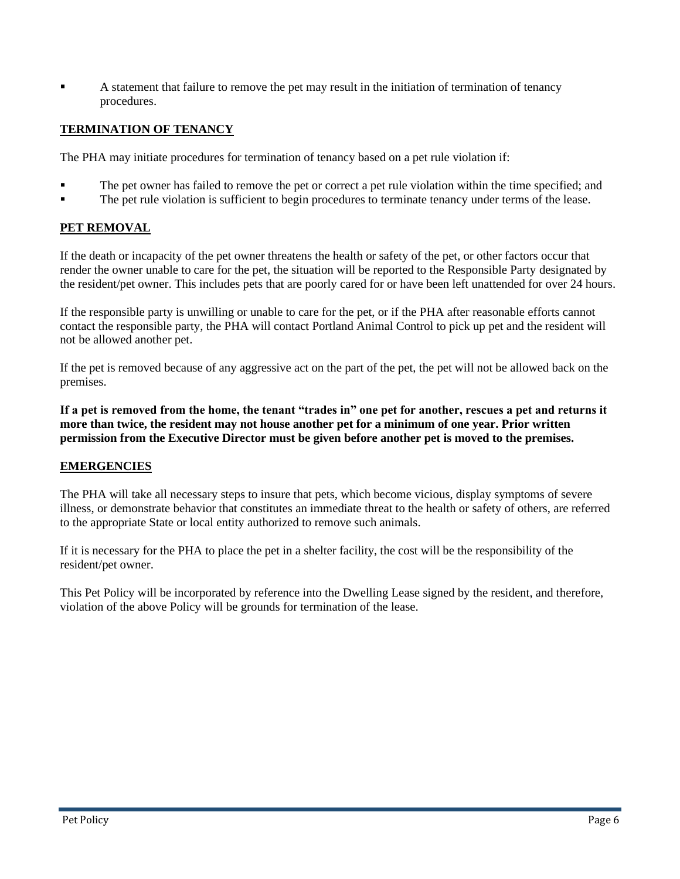A statement that failure to remove the pet may result in the initiation of termination of tenancy procedures.

## **TERMINATION OF TENANCY**

The PHA may initiate procedures for termination of tenancy based on a pet rule violation if:

- The pet owner has failed to remove the pet or correct a pet rule violation within the time specified; and
- The pet rule violation is sufficient to begin procedures to terminate tenancy under terms of the lease.

### **PET REMOVAL**

If the death or incapacity of the pet owner threatens the health or safety of the pet, or other factors occur that render the owner unable to care for the pet, the situation will be reported to the Responsible Party designated by the resident/pet owner. This includes pets that are poorly cared for or have been left unattended for over 24 hours.

If the responsible party is unwilling or unable to care for the pet, or if the PHA after reasonable efforts cannot contact the responsible party, the PHA will contact Portland Animal Control to pick up pet and the resident will not be allowed another pet.

If the pet is removed because of any aggressive act on the part of the pet, the pet will not be allowed back on the premises.

**If a pet is removed from the home, the tenant "trades in" one pet for another, rescues a pet and returns it more than twice, the resident may not house another pet for a minimum of one year. Prior written permission from the Executive Director must be given before another pet is moved to the premises.**

#### **EMERGENCIES**

The PHA will take all necessary steps to insure that pets, which become vicious, display symptoms of severe illness, or demonstrate behavior that constitutes an immediate threat to the health or safety of others, are referred to the appropriate State or local entity authorized to remove such animals.

If it is necessary for the PHA to place the pet in a shelter facility, the cost will be the responsibility of the resident/pet owner.

This Pet Policy will be incorporated by reference into the Dwelling Lease signed by the resident, and therefore, violation of the above Policy will be grounds for termination of the lease.